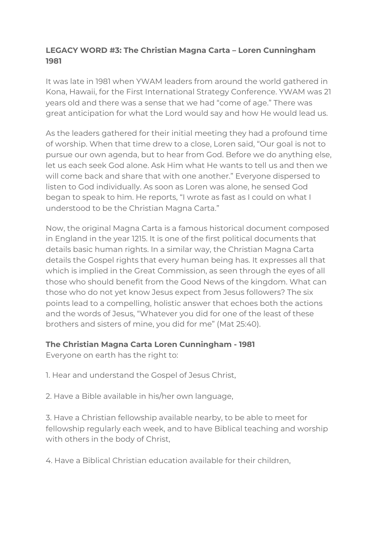## **LEGACY WORD #3: The Christian Magna Carta – Loren Cunningham 1981**

It was late in 1981 when YWAM leaders from around the world gathered in Kona, Hawaii, for the First International Strategy Conference. YWAM was 21 years old and there was a sense that we had "come of age." There was great anticipation for what the Lord would say and how He would lead us.

As the leaders gathered for their initial meeting they had a profound time of worship. When that time drew to a close, Loren said, "Our goal is not to pursue our own agenda, but to hear from God. Before we do anything else, let us each seek God alone. Ask Him what He wants to tell us and then we will come back and share that with one another." Everyone dispersed to listen to God individually. As soon as Loren was alone, he sensed God began to speak to him. He reports, "I wrote as fast as I could on what I understood to be the Christian Magna Carta."

Now, the original Magna Carta is a famous historical document composed in England in the year 1215. It is one of the first political documents that details basic human rights. In a similar way, the Christian Magna Carta details the Gospel rights that every human being has. It expresses all that which is implied in the Great Commission, as seen through the eyes of all those who should benefit from the Good News of the kingdom. What can those who do not yet know Jesus expect from Jesus followers? The six points lead to a compelling, holistic answer that echoes both the actions and the words of Jesus, "Whatever you did for one of the least of these brothers and sisters of mine, you did for me" (Mat 25:40).

## **The Christian Magna Carta Loren Cunningham - 1981**

Everyone on earth has the right to:

- 1. Hear and understand the Gospel of Jesus Christ,
- 2. Have a Bible available in his/her own language,

3. Have a Christian fellowship available nearby, to be able to meet for fellowship regularly each week, and to have Biblical teaching and worship with others in the body of Christ,

4. Have a Biblical Christian education available for their children,